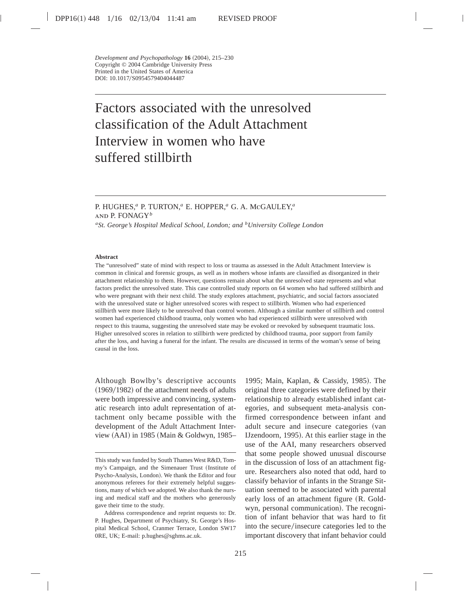# Factors associated with the unresolved classification of the Adult Attachment Interview in women who have suffered stillbirth

# P. HUGHES,*<sup>a</sup>* P. TURTON,*<sup>a</sup>* E. HOPPER,*<sup>a</sup>* G. A. McGAULEY,*<sup>a</sup>* and P. FONAGY*<sup>b</sup>*

*aSt. George's Hospital Medical School, London; and bUniversity College London*

#### **Abstract**

The "unresolved" state of mind with respect to loss or trauma as assessed in the Adult Attachment Interview is common in clinical and forensic groups, as well as in mothers whose infants are classified as disorganized in their attachment relationship to them. However, questions remain about what the unresolved state represents and what factors predict the unresolved state. This case controlled study reports on 64 women who had suffered stillbirth and who were pregnant with their next child. The study explores attachment, psychiatric, and social factors associated with the unresolved state or higher unresolved scores with respect to stillbirth. Women who had experienced stillbirth were more likely to be unresolved than control women. Although a similar number of stillbirth and control women had experienced childhood trauma, only women who had experienced stillbirth were unresolved with respect to this trauma, suggesting the unresolved state may be evoked or reevoked by subsequent traumatic loss. Higher unresolved scores in relation to stillbirth were predicted by childhood trauma, poor support from family after the loss, and having a funeral for the infant. The results are discussed in terms of the woman's sense of being causal in the loss.

Although Bowlby's descriptive accounts  $(1969/1982)$  of the attachment needs of adults were both impressive and convincing, systematic research into adult representation of attachment only became possible with the development of the Adult Attachment Interview  $(AAI)$  in 1985 (Main & Goldwyn, 1985– 1995; Main, Kaplan, & Cassidy, 1985). The original three categories were defined by their relationship to already established infant categories, and subsequent meta-analysis confirmed correspondence between infant and adult secure and insecure categories (van IJzendoorn, 1995). At this earlier stage in the use of the AAI, many researchers observed that some people showed unusual discourse in the discussion of loss of an attachment figure. Researchers also noted that odd, hard to classify behavior of infants in the Strange Situation seemed to be associated with parental early loss of an attachment figure (R. Goldwyn, personal communication). The recognition of infant behavior that was hard to fit into the secure/insecure categories led to the important discovery that infant behavior could

This study was funded by South Thames West R&D, Tommy's Campaign, and the Simenauer Trust (Institute of Psycho-Analysis, London). We thank the Editor and four anonymous referees for their extremely helpful suggestions, many of which we adopted. We also thank the nursing and medical staff and the mothers who generously gave their time to the study.

Address correspondence and reprint requests to: Dr. P. Hughes, Department of Psychiatry, St. George's Hospital Medical School, Cranmer Terrace, London SW17 0RE, UK; E-mail: p.hughes@sghms.ac.uk.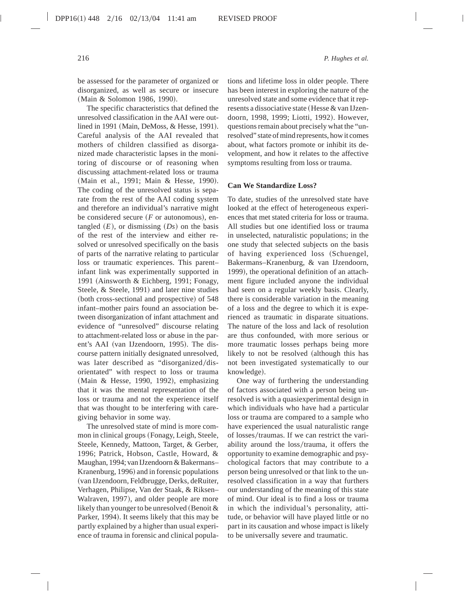be assessed for the parameter of organized or disorganized, as well as secure or insecure (Main & Solomon 1986, 1990).

The specific characteristics that defined the unresolved classification in the AAI were outlined in 1991 (Main, DeMoss, & Hesse, 1991). Careful analysis of the AAI revealed that mothers of children classified as disorganized made characteristic lapses in the monitoring of discourse or of reasoning when discussing attachment-related loss or trauma (Main et al., 1991; Main & Hesse, 1990). The coding of the unresolved status is separate from the rest of the AAI coding system and therefore an individual's narrative might be considered secure  $(F \text{ or autonomous})$ , entangled  $(E)$ , or dismissing  $(Ds)$  on the basis of the rest of the interview and either resolved or unresolved specifically on the basis of parts of the narrative relating to particular loss or traumatic experiences. This parent– infant link was experimentally supported in 1991 (Ainsworth & Eichberg, 1991; Fonagy, Steele, & Steele, 1991) and later nine studies (both cross-sectional and prospective) of 548 infant–mother pairs found an association between disorganization of infant attachment and evidence of "unresolved" discourse relating to attachment-related loss or abuse in the parent's AAI (van IJzendoorn, 1995). The discourse pattern initially designated unresolved, was later described as "disorganized/disorientated" with respect to loss or trauma (Main & Hesse, 1990, 1992), emphasizing that it was the mental representation of the loss or trauma and not the experience itself that was thought to be interfering with caregiving behavior in some way.

The unresolved state of mind is more common in clinical groups (Fonagy, Leigh, Steele, Steele, Kennedy, Mattoon, Target, & Gerber, 1996; Patrick, Hobson, Castle, Howard, & Maughan, 1994; van IJzendoorn & Bakermans– Kranenburg, 1996) and in forensic populations (van IJzendoorn, Feldbrugge, Derks, deRuiter, Verhagen, Philipse, Van der Staak, & Riksen– Walraven, 1997), and older people are more likely than younger to be unresolved (Benoit  $&$ Parker, 1994). It seems likely that this may be partly explained by a higher than usual experience of trauma in forensic and clinical populations and lifetime loss in older people. There has been interest in exploring the nature of the unresolved state and some evidence that it represents a dissociative state (Hesse & van IJzendoorn, 1998, 1999; Liotti, 1992). However, questions remain about precisely what the "unresolved" state of mind represents, how it comes about, what factors promote or inhibit its development, and how it relates to the affective symptoms resulting from loss or trauma.

# **Can We Standardize Loss?**

To date, studies of the unresolved state have looked at the effect of heterogeneous experiences that met stated criteria for loss or trauma. All studies but one identified loss or trauma in unselected, naturalistic populations; in the one study that selected subjects on the basis of having experienced loss (Schuengel, Bakermans–Kranenburg, & van IJzendoorn, 1999), the operational definition of an attachment figure included anyone the individual had seen on a regular weekly basis. Clearly, there is considerable variation in the meaning of a loss and the degree to which it is experienced as traumatic in disparate situations. The nature of the loss and lack of resolution are thus confounded, with more serious or more traumatic losses perhaps being more likely to not be resolved (although this has not been investigated systematically to our knowledge).

One way of furthering the understanding of factors associated with a person being unresolved is with a quasiexperimental design in which individuals who have had a particular loss or trauma are compared to a sample who have experienced the usual naturalistic range of losses/traumas. If we can restrict the variability around the loss/trauma, it offers the opportunity to examine demographic and psychological factors that may contribute to a person being unresolved or that link to the unresolved classification in a way that furthers our understanding of the meaning of this state of mind. Our ideal is to find a loss or trauma in which the individual's personality, attitude, or behavior will have played little or no part in its causation and whose impact is likely to be universally severe and traumatic.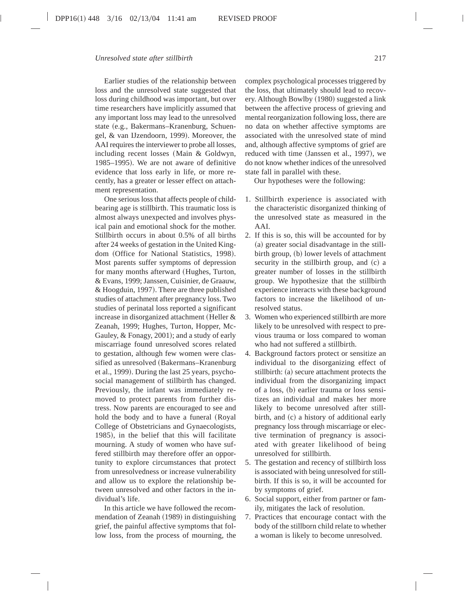Earlier studies of the relationship between loss and the unresolved state suggested that loss during childhood was important, but over time researchers have implicitly assumed that any important loss may lead to the unresolved state (e.g., Bakermans–Kranenburg, Schuengel, & van IJzendoorn, 1999). Moreover, the AAI requires the interviewer to probe all losses, including recent losses (Main  $&$  Goldwyn, 1985–1995). We are not aware of definitive evidence that loss early in life, or more recently, has a greater or lesser effect on attachment representation.

One serious loss that affects people of childbearing age is stillbirth. This traumatic loss is almost always unexpected and involves physical pain and emotional shock for the mother. Stillbirth occurs in about 0.5% of all births after 24 weeks of gestation in the United Kingdom (Office for National Statistics, 1998). Most parents suffer symptoms of depression for many months afterward (Hughes, Turton, & Evans, 1999; Janssen, Cuisinier, de Graauw, & Hoogduin, 1997). There are three published studies of attachment after pregnancy loss. Two studies of perinatal loss reported a significant increase in disorganized attachment (Heller  $&$ Zeanah, 1999; Hughes, Turton, Hopper, Mc-Gauley, & Fonagy, 2001); and a study of early miscarriage found unresolved scores related to gestation, although few women were classified as unresolved (Bakermans–Kranenburg et al., 1999). During the last 25 years, psychosocial management of stillbirth has changed. Previously, the infant was immediately removed to protect parents from further distress. Now parents are encouraged to see and hold the body and to have a funeral (Royal College of Obstetricians and Gynaecologists, 1985), in the belief that this will facilitate mourning. A study of women who have suffered stillbirth may therefore offer an opportunity to explore circumstances that protect from unresolvedness or increase vulnerability and allow us to explore the relationship between unresolved and other factors in the individual's life.

In this article we have followed the recommendation of Zeanah (1989) in distinguishing grief, the painful affective symptoms that follow loss, from the process of mourning, the complex psychological processes triggered by the loss, that ultimately should lead to recovery. Although Bowlby (1980) suggested a link between the affective process of grieving and mental reorganization following loss, there are no data on whether affective symptoms are associated with the unresolved state of mind and, although affective symptoms of grief are reduced with time (Janssen et al., 1997), we do not know whether indices of the unresolved state fall in parallel with these.

Our hypotheses were the following:

- 1. Stillbirth experience is associated with the characteristic disorganized thinking of the unresolved state as measured in the AAI.
- 2. If this is so, this will be accounted for by (a) greater social disadvantage in the stillbirth group, (b) lower levels of attachment security in the stillbirth group, and  $(c)$  a greater number of losses in the stillbirth group. We hypothesize that the stillbirth experience interacts with these background factors to increase the likelihood of unresolved status.
- 3. Women who experienced stillbirth are more likely to be unresolved with respect to previous trauma or loss compared to woman who had not suffered a stillbirth.
- 4. Background factors protect or sensitize an individual to the disorganizing effect of stillbirth: (a) secure attachment protects the individual from the disorganizing impact of a loss, (b) earlier trauma or loss sensitizes an individual and makes her more likely to become unresolved after stillbirth, and  $(c)$  a history of additional early pregnancy loss through miscarriage or elective termination of pregnancy is associated with greater likelihood of being unresolved for stillbirth.
- 5. The gestation and recency of stillbirth loss is associated with being unresolved for stillbirth. If this is so, it will be accounted for by symptoms of grief.
- 6. Social support, either from partner or family, mitigates the lack of resolution.
- 7. Practices that encourage contact with the body of the stillborn child relate to whether a woman is likely to become unresolved.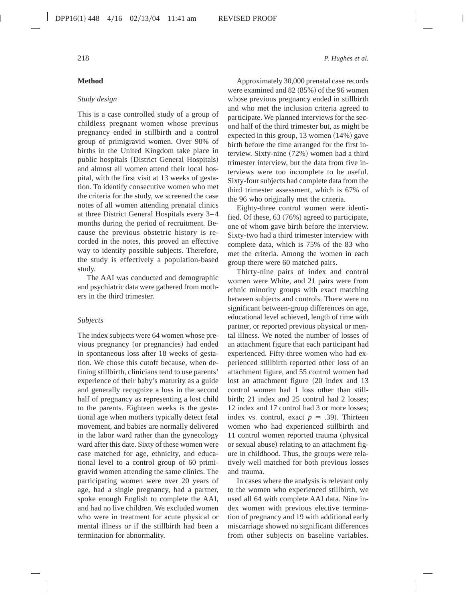# **Method**

#### *Study design*

This is a case controlled study of a group of childless pregnant women whose previous pregnancy ended in stillbirth and a control group of primigravid women. Over 90% of births in the United Kingdom take place in public hospitals (District General Hospitals) and almost all women attend their local hospital, with the first visit at 13 weeks of gestation. To identify consecutive women who met the criteria for the study, we screened the case notes of all women attending prenatal clinics at three District General Hospitals every 3–4 months during the period of recruitment. Because the previous obstetric history is recorded in the notes, this proved an effective way to identify possible subjects. Therefore, the study is effectively a population-based study.

The AAI was conducted and demographic and psychiatric data were gathered from mothers in the third trimester.

#### *Subjects*

The index subjects were 64 women whose previous pregnancy (or pregnancies) had ended in spontaneous loss after 18 weeks of gestation. We chose this cutoff because, when defining stillbirth, clinicians tend to use parents' experience of their baby's maturity as a guide and generally recognize a loss in the second half of pregnancy as representing a lost child to the parents. Eighteen weeks is the gestational age when mothers typically detect fetal movement, and babies are normally delivered in the labor ward rather than the gynecology ward after this date. Sixty of these women were case matched for age, ethnicity, and educational level to a control group of 60 primigravid women attending the same clinics. The participating women were over 20 years of age, had a single pregnancy, had a partner, spoke enough English to complete the AAI, and had no live children. We excluded women who were in treatment for acute physical or mental illness or if the stillbirth had been a termination for abnormality.

Approximately 30,000 prenatal case records were examined and  $82 (85%)$  of the 96 women whose previous pregnancy ended in stillbirth and who met the inclusion criteria agreed to participate. We planned interviews for the second half of the third trimester but, as might be expected in this group,  $13$  women  $(14%)$  gave birth before the time arranged for the first interview. Sixty-nine  $(72%)$  women had a third trimester interview, but the data from five interviews were too incomplete to be useful. Sixty-four subjects had complete data from the third trimester assessment, which is 67% of the 96 who originally met the criteria.

Eighty-three control women were identified. Of these,  $63 (76%)$  agreed to participate, one of whom gave birth before the interview. Sixty-two had a third trimester interview with complete data, which is 75% of the 83 who met the criteria. Among the women in each group there were 60 matched pairs.

Thirty-nine pairs of index and control women were White, and 21 pairs were from ethnic minority groups with exact matching between subjects and controls. There were no significant between-group differences on age, educational level achieved, length of time with partner, or reported previous physical or mental illness. We noted the number of losses of an attachment figure that each participant had experienced. Fifty-three women who had experienced stillbirth reported other loss of an attachment figure, and 55 control women had lost an attachment figure (20 index and 13 control women had 1 loss other than stillbirth; 21 index and 25 control had 2 losses; 12 index and 17 control had 3 or more losses; index vs. control, exact  $p = .39$ ). Thirteen women who had experienced stillbirth and 11 control women reported trauma (physical or sexual abuse) relating to an attachment figure in childhood. Thus, the groups were relatively well matched for both previous losses and trauma.

In cases where the analysis is relevant only to the women who experienced stillbirth, we used all 64 with complete AAI data. Nine index women with previous elective termination of pregnancy and 19 with additional early miscarriage showed no significant differences from other subjects on baseline variables.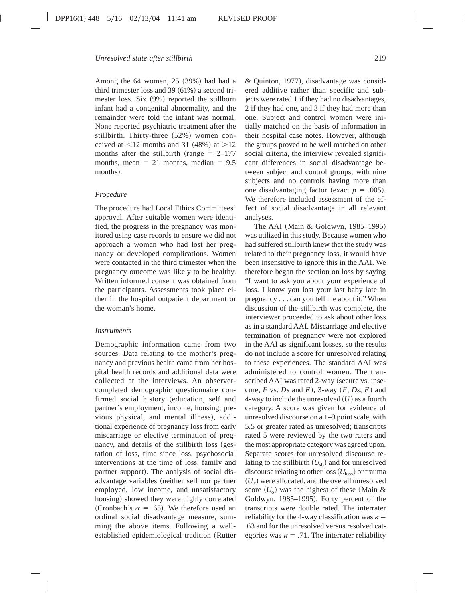Among the  $64$  women,  $25$   $(39%)$  had had a third trimester loss and  $39~(61%)$  a second trimester loss. Six  $(9%)$  reported the stillborn infant had a congenital abnormality, and the remainder were told the infant was normal. None reported psychiatric treatment after the stillbirth. Thirty-three (52%) women conceived at  $\leq$ 12 months and 31 (48%) at  $>$ 12 months after the stillbirth (range  $= 2-177$ months, mean  $= 21$  months, median  $= 9.5$ months).

#### *Procedure*

The procedure had Local Ethics Committees' approval. After suitable women were identified, the progress in the pregnancy was monitored using case records to ensure we did not approach a woman who had lost her pregnancy or developed complications. Women were contacted in the third trimester when the pregnancy outcome was likely to be healthy. Written informed consent was obtained from the participants. Assessments took place either in the hospital outpatient department or the woman's home.

#### *Instruments*

Demographic information came from two sources. Data relating to the mother's pregnancy and previous health came from her hospital health records and additional data were collected at the interviews. An observercompleted demographic questionnaire confirmed social history (education, self and partner's employment, income, housing, previous physical, and mental illness), additional experience of pregnancy loss from early miscarriage or elective termination of pregnancy, and details of the stillbirth loss (gestation of loss, time since loss, psychosocial interventions at the time of loss, family and partner support). The analysis of social disadvantage variables (neither self nor partner employed, low income, and unsatisfactory housing) showed they were highly correlated (Cronbach's  $\alpha = .65$ ). We therefore used an ordinal social disadvantage measure, summing the above items. Following a wellestablished epidemiological tradition (Rutter  $&$  Quinton, 1977), disadvantage was considered additive rather than specific and subjects were rated 1 if they had no disadvantages, 2 if they had one, and 3 if they had more than one. Subject and control women were initially matched on the basis of information in their hospital case notes. However, although the groups proved to be well matched on other social criteria, the interview revealed significant differences in social disadvantage between subject and control groups, with nine subjects and no controls having more than one disadvantaging factor (exact  $p = .005$ ). We therefore included assessment of the effect of social disadvantage in all relevant analyses.

The AAI (Main & Goldwyn, 1985–1995) was utilized in this study. Because women who had suffered stillbirth knew that the study was related to their pregnancy loss, it would have been insensitive to ignore this in the AAI. We therefore began the section on loss by saying "I want to ask you about your experience of loss. I know you lost your last baby late in pregnancy . . . can you tell me about it." When discussion of the stillbirth was complete, the interviewer proceeded to ask about other loss as in a standard AAI. Miscarriage and elective termination of pregnancy were not explored in the AAI as significant losses, so the results do not include a score for unresolved relating to these experiences. The standard AAI was administered to control women. The transcribed AAI was rated 2-way (secure vs. insecure,  $F$  vs.  $Ds$  and  $E$ ), 3-way  $(F, Ds, E)$  and 4-way to include the unresolved  $(U)$  as a fourth category. A score was given for evidence of unresolved discourse on a 1–9 point scale, with 5.5 or greater rated as unresolved; transcripts rated 5 were reviewed by the two raters and the most appropriate category was agreed upon. Separate scores for unresolved discourse relating to the stillbirth  $(U_{sb})$  and for unresolved discourse relating to other loss  $(U<sub>loss</sub>)$  or trauma  $(U_{tr})$  were allocated, and the overall unresolved score  $(U_0)$  was the highest of these (Main & Goldwyn, 1985–1995). Forty percent of the transcripts were double rated. The interrater reliability for the 4-way classification was  $\kappa =$ .63 and for the unresolved versus resolved categories was  $\kappa = .71$ . The interrater reliability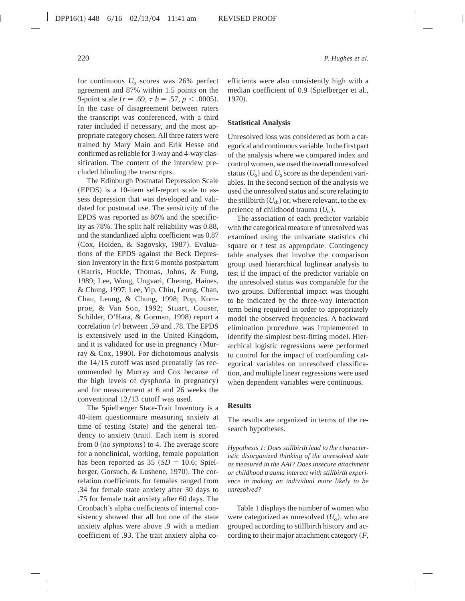for continuous *U*<sup>o</sup> scores was 26% perfect agreement and 87% within 1.5 points on the 9-point scale  $(r = .69, \tau b = .57, p < .0005)$ . In the case of disagreement between raters the transcript was conferenced, with a third rater included if necessary, and the most appropriate category chosen. All three raters were trained by Mary Main and Erik Hesse and confirmed as reliable for 3-way and 4-way classification. The content of the interview precluded blinding the transcripts.

The Edinburgh Postnatal Depression Scale (EPDS) is a 10-item self-report scale to assess depression that was developed and validated for postnatal use. The sensitivity of the EPDS was reported as 86% and the specificity as 78%. The split half reliability was 0.88, and the standardized alpha coefficient was 0.87 (Cox, Holden, & Sagovsky, 1987). Evaluations of the EPDS against the Beck Depression Inventory in the first 6 months postpartum (Harris, Huckle, Thomas, Johns, & Fung, 1989; Lee, Wong, Ungvari, Cheung, Haines, & Chung, 1997; Lee, Yip, Chiu, Leung, Chan, Chau, Leung, & Chung, 1998; Pop, Komproe, & Van Son, 1992; Stuart, Couser, Schilder, O'Hara, & Gorman, 1998) report a correlation  $(r)$  between .59 and .78. The EPDS is extensively used in the United Kingdom, and it is validated for use in pregnancy (Murray & Cox, 1990). For dichotomous analysis the  $14/15$  cutoff was used prenatally (as recommended by Murray and Cox because of the high levels of dysphoria in pregnancy) and for measurement at 6 and 26 weeks the conventional  $12/13$  cutoff was used.

The Spielberger State-Trait Inventory is a 40-item questionnaire measuring anxiety at time of testing (state) and the general tendency to anxiety (trait). Each item is scored from  $0$  (*no symptoms*) to 4. The average score for a nonclinical, working, female population has been reported as  $35 ~(SD = 10.6; Spiel$ berger, Gorsuch, & Lushene, 1970). The correlation coefficients for females ranged from .34 for female state anxiety after 30 days to .75 for female trait anxiety after 60 days. The Cronbach's alpha coefficients of internal consistency showed that all but one of the state anxiety alphas were above .9 with a median coefficient of .93. The trait anxiety alpha coefficients were also consistently high with a median coefficient of 0.9 (Spielberger et al., 1970).

#### **Statistical Analysis**

Unresolved loss was considered as both a categorical and continuous variable. In the first part of the analysis where we compared index and control women, we used the overall unresolved status  $(U_0)$  and  $U_0$  score as the dependent variables. In the second section of the analysis we used the unresolved status and score relating to the stillbirth  $(U_{sb})$  or, where relevant, to the experience of childhood trauma  $(U_{tr})$ .

The association of each predictor variable with the categorical measure of unresolved was examined using the univariate statistics chi square or *t* test as appropriate. Contingency table analyses that involve the comparison group used hierarchical loglinear analysis to test if the impact of the predictor variable on the unresolved status was comparable for the two groups. Differential impact was thought to be indicated by the three-way interaction term being required in order to appropriately model the observed frequencies. A backward elimination procedure was implemented to identify the simplest best-fitting model. Hierarchical logistic regressions were performed to control for the impact of confounding categorical variables on unresolved classification, and multiple linear regressions were used when dependent variables were continuous.

#### **Results**

The results are organized in terms of the research hypotheses.

*Hypothesis 1: Does stillbirth lead to the characteristic disorganized thinking of the unresolved state as measured in the AAI? Does insecure attachment or childhood trauma interact with stillbirth experience in making an individual more likely to be unresolved?*

Table 1 displays the number of women who were categorized as unresolved  $(U_0)$ , who are grouped according to stillbirth history and according to their major attachment category  $(F,$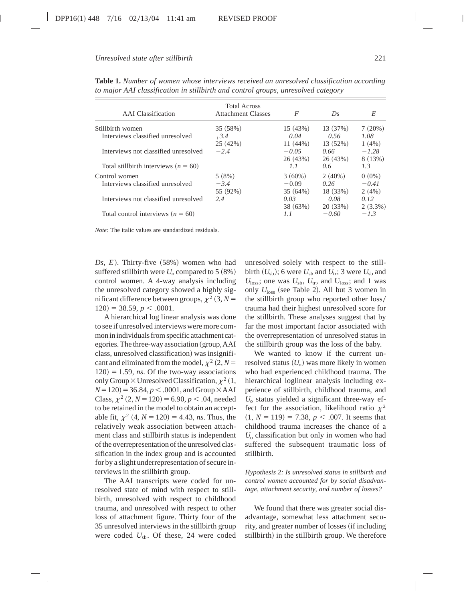| <b>AAI</b> Classification                         | <b>Total Across</b><br><b>Attachment Classes</b> | F                               | Ds.                           | E                            |
|---------------------------------------------------|--------------------------------------------------|---------------------------------|-------------------------------|------------------------------|
| Stillbirth women                                  | 35 (58%)                                         | 15(43%)                         | 13 (37%)                      | 7(20%)                       |
| Interviews classified unresolved                  | $+3.4$<br>25(42%)                                | $-0.04$<br>11 (44%)             | $-0.56$<br>13(52%)            | 1.08<br>$1(4\%)$             |
| Interviews not classified unresolved              | $-2.4$                                           | $-0.05$<br>26(43%)              | 0.66<br>26 (43%)              | $-1.28$<br>8(13%)            |
| Total stillbirth interviews ( $n = 60$ )          |                                                  | $-1.1$                          | 0.6                           | 1.3                          |
| Control women<br>Interviews classified unresolved | 5(8%)<br>$-3.4$<br>55 (92%)                      | $3(60\%)$<br>$-0.09$<br>35(64%) | $2(40\%)$<br>0.26<br>18 (33%) | $0(0\%)$<br>$-0.41$<br>2(4%) |
| Interviews not classified unresolved              | 2.4                                              | 0.03<br>38 (63%)                | $-0.08$<br>20(33%)            | 0.12<br>$2(3.3\%)$           |
| Total control interviews ( $n = 60$ )             |                                                  | 1.1                             | $-0.60$                       | $-1.3$                       |

**Table 1.** *Number of women whose interviews received an unresolved classification according to major AAI classification in stillbirth and control groups, unresolved category*

*Note:* The italic values are standardized residuals.

 $Ds, E$ ). Thirty-five  $(58%)$  women who had suffered stillbirth were  $U_0$  compared to 5  $(8\%)$ control women. A 4-way analysis including the unresolved category showed a highly significant difference between groups,  $\chi^2$  (3, *N* =  $120$ ) = 38.59, *p* < .0001.

A hierarchical log linear analysis was done to see if unresolved interviews were more common in individuals from specific attachment categories. The three-way association (group, AAI class, unresolved classification) was insignificant and eliminated from the model,  $\chi^2$  (2, *N* =  $120$  = 1.59, *ns*. Of the two-way associations only Group  $\times$  Unresolved Classification,  $\chi^2$  (1,  $N=120$  = 36.84,  $p < .0001$ , and Group  $\times$  AAI Class,  $\chi^2$  (2, *N* = 120) = 6.90, *p* < .04, needed to be retained in the model to obtain an acceptable fit,  $\chi^2$  (4, *N* = 120) = 4.43, *ns*. Thus, the relatively weak association between attachment class and stillbirth status is independent of the overrepresentation of the unresolved classification in the index group and is accounted for by a slight underrepresentation of secure interviews in the stillbirth group.

The AAI transcripts were coded for unresolved state of mind with respect to stillbirth, unresolved with respect to childhood trauma, and unresolved with respect to other loss of attachment figure. Thirty four of the 35 unresolved interviews in the stillbirth group were coded *U*sb. Of these, 24 were coded

unresolved solely with respect to the stillbirth  $(U_{sb})$ ; 6 were  $U_{sb}$  and  $U_{tr}$ ; 3 were  $U_{sb}$  and  $U_{\text{loss}}$ ; one was  $U_{\text{sb}}$ ,  $U_{\text{tr}}$ , and  $U_{\text{loss}}$ ; and 1 was only  $U_{\text{loss}}$  (see Table 2). All but 3 women in the stillbirth group who reported other loss/ trauma had their highest unresolved score for the stillbirth. These analyses suggest that by far the most important factor associated with the overrepresentation of unresolved status in the stillbirth group was the loss of the baby.

We wanted to know if the current unresolved status  $(U_0)$  was more likely in women who had experienced childhood trauma. The hierarchical loglinear analysis including experience of stillbirth, childhood trauma, and *U*<sup>o</sup> status yielded a significant three-way effect for the association, likelihood ratio  $\chi^2$  $(1, N = 119) = 7.38, p < .007$ . It seems that childhood trauma increases the chance of a *U*<sup>o</sup> classification but only in women who had suffered the subsequent traumatic loss of stillbirth.

*Hypothesis 2: Is unresolved status in stillbirth and control women accounted for by social disadvantage, attachment security, and number of losses?*

We found that there was greater social disadvantage, somewhat less attachment security, and greater number of losses (if including stillbirth) in the stillbirth group. We therefore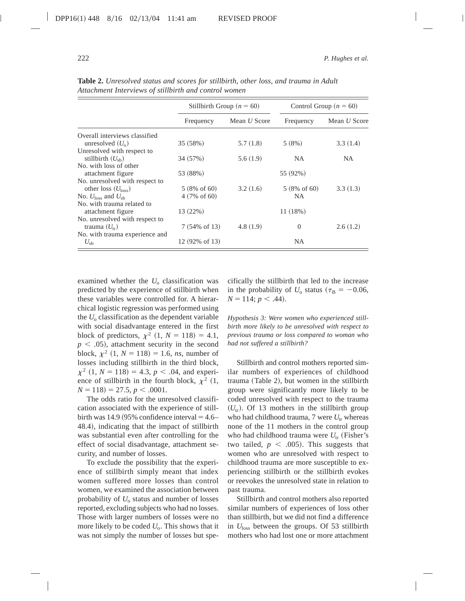|                                           | Stillbirth Group ( $n = 60$ ) |                     | Control Group ( $n = 60$ ) |                     |
|-------------------------------------------|-------------------------------|---------------------|----------------------------|---------------------|
|                                           | Frequency                     | Mean <i>U</i> Score | Frequency                  | Mean <i>U</i> Score |
| Overall interviews classified             |                               |                     |                            |                     |
| unresolved $(U_0)$                        | 35 (58%)                      | 5.7(1.8)            | 5(8%)                      | 3.3(1.4)            |
| Unresolved with respect to                |                               |                     |                            |                     |
| stillbirth $(U_{\rm sh})$                 | 34 (57%)                      | 5.6(1.9)            | NA.                        | <b>NA</b>           |
| No. with loss of other                    |                               |                     |                            |                     |
| attachment figure                         | 53 (88%)                      |                     | 55 (92%)                   |                     |
| No. unresolved with respect to            |                               |                     |                            |                     |
| other loss $(Uloss)$                      | $5(8\% \text{ of } 60)$       | 3.2(1.6)            | $5(8\% \text{ of } 60)$    | 3.3(1.3)            |
| No. $U_{\text{loss}}$ and $U_{\text{sh}}$ | $4(7\% \text{ of } 60)$       |                     | <b>NA</b>                  |                     |
| No, with trauma related to                |                               |                     |                            |                     |
| attachment figure                         | 13 (22%)                      |                     | 11(18%)                    |                     |
| No. unresolved with respect to            |                               |                     |                            |                     |
| trauma $(U_{tr})$                         | $7(54\% \text{ of } 13)$      | 4.8(1.9)            | $\Omega$                   | 2.6(1.2)            |
| No. with trauma experience and            |                               |                     |                            |                     |
| $U_{\rm sb}$                              | 12 (92% of 13)                |                     | <b>NA</b>                  |                     |

**Table 2.** *Unresolved status and scores for stillbirth, other loss, and trauma in Adult Attachment Interviews of stillbirth and control women*

examined whether the  $U_0$  classification was predicted by the experience of stillbirth when these variables were controlled for. A hierarchical logistic regression was performed using the  $U_0$  classification as the dependent variable with social disadvantage entered in the first block of predictors,  $\chi^2$  (1, *N* = 118) = 4.1,  $p < .05$ ), attachment security in the second block,  $\chi^2$  (1, *N* = 118) = 1.6, *ns*, number of losses including stillbirth in the third block,  $\chi^2$  (1, *N* = 118) = 4.3, *p* < .04, and experience of stillbirth in the fourth block,  $\chi^2$  (1,  $N = 118$ ) = 27.5,  $p < .0001$ .

The odds ratio for the unresolved classification associated with the experience of stillbirth was 14.9  $(95%$  confidence interval = 4.6– 48.4), indicating that the impact of stillbirth was substantial even after controlling for the effect of social disadvantage, attachment security, and number of losses.

To exclude the possibility that the experience of stillbirth simply meant that index women suffered more losses than control women, we examined the association between probability of  $U_0$  status and number of losses reported, excluding subjects who had no losses. Those with larger numbers of losses were no more likely to be coded  $U_0$ . This shows that it was not simply the number of losses but specifically the stillbirth that led to the increase in the probability of  $U_0$  status ( $\tau_B = -0.06$ ,  $N = 114$ ;  $p < .44$ ).

*Hypothesis 3: Were women who experienced stillbirth more likely to be unresolved with respect to previous trauma or loss compared to woman who had not suffered a stillbirth?*

Stillbirth and control mothers reported similar numbers of experiences of childhood  $tramma$  (Table 2), but women in the stillbirth group were significantly more likely to be coded unresolved with respect to the trauma  $(U_{tr})$ . Of 13 mothers in the stillbirth group who had childhood trauma,  $7$  were  $U_{tr}$  whereas none of the 11 mothers in the control group who had childhood trauma were  $U_{tr}$  (Fisher's two tailed,  $p \leq .005$ ). This suggests that women who are unresolved with respect to childhood trauma are more susceptible to experiencing stillbirth or the stillbirth evokes or reevokes the unresolved state in relation to past trauma.

Stillbirth and control mothers also reported similar numbers of experiences of loss other than stillbirth, but we did not find a difference in  $U_{\text{loss}}$  between the groups. Of 53 stillbirth mothers who had lost one or more attachment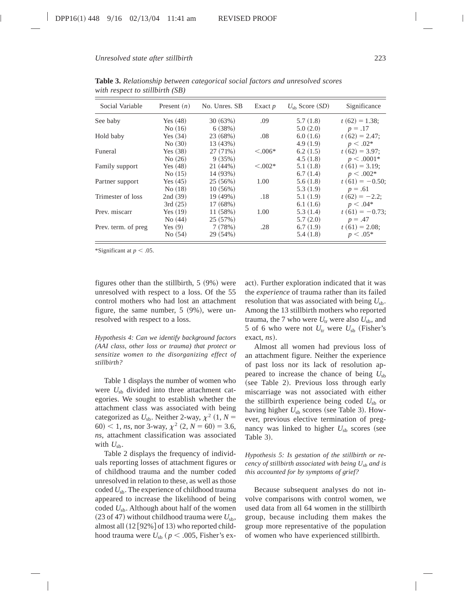| Social Variable      | Present $(n)$ | No. Unres. SB | Exact $p$     | $U_{\rm sh}$ Score (SD) | Significance      |
|----------------------|---------------|---------------|---------------|-------------------------|-------------------|
| See baby             | Yes $(48)$    | 30(63%)       | .09           | 5.7(1.8)                | $t(62) = 1.38$ ;  |
|                      | No(16)        | 6(38%)        |               | 5.0(2.0)                | $p=.17$           |
| Hold baby            | Yes $(34)$    | 23(68%)       | .08           | 6.0(1.6)                | $t(62) = 2.47;$   |
|                      | No(30)        | 13 (43%)      |               | 4.9(1.9)                | $p < .02*$        |
| Funeral              | Yes $(38)$    | 27(71%)       | $\leq 0.006*$ | 6.2(1.5)                | $t(62) = 3.97$ ;  |
|                      | No(26)        | 9(35%)        |               | 4.5(1.8)                | $p < .0001*$      |
| Family support       | Yes $(48)$    | 21(44%)       | $< 0.002*$    | 5.1(1.8)                | $t(61) = 3.19$ ;  |
|                      | No(15)        | 14 (93%)      |               | 6.7(1.4)                | $p < .002*$       |
| Partner support      | Yes $(45)$    | 25(56%)       | 1.00          | 5.6(1.8)                | $t(61) = -0.50$ ; |
|                      | No(18)        | 10(56%)       |               | 5.3(1.9)                | $p=.61$           |
| Trimester of loss    | 2nd(39)       | 19(49%)       | .18           | 5.1(1.9)                | $t(62) = -2.2;$   |
|                      | 3rd(25)       | 17(68%)       |               | 6.1(1.6)                | $p < .04*$        |
| Prev. miscarr        | Yes $(19)$    | 11(58%)       | 1.00          | 5.3(1.4)                | $t(61) = -0.73$ ; |
|                      | No(44)        | 25(57%)       |               | 5.7(2.0)                | $p = .47$         |
| Prev. term. of preg. | Yes $(9)$     | 7(78%)        | .28           | 6.7(1.9)                | $t(61) = 2.08$ ;  |
|                      | No(54)        | 29 (54%)      |               | 5.4(1.8)                | $p < .05*$        |

**Table 3.** *Relationship between categorical social factors and unresolved scores with respect to stillbirth (SB)*

\*Significant at  $p < .05$ .

figures other than the stillbirth,  $5 (9%)$  were unresolved with respect to a loss. Of the 55 control mothers who had lost an attachment figure, the same number,  $5 (9\%)$ , were unresolved with respect to a loss.

*Hypothesis 4: Can we identify background factors (AAI class, other loss or trauma) that protect or sensitize women to the disorganizing effect of stillbirth?*

Table 1 displays the number of women who were  $U_{sb}$  divided into three attachment categories. We sought to establish whether the attachment class was associated with being categorized as  $U_{sb}$ . Neither 2-way,  $\chi^2$  (1,  $N =$ 60) < 1, *ns*, nor 3-way,  $\chi^2$  (2, *N* = 60) = 3.6, *ns*, attachment classification was associated with  $U_{\rm sb}$ .

Table 2 displays the frequency of individuals reporting losses of attachment figures or of childhood trauma and the number coded unresolved in relation to these, as well as those coded *U*sb. The experience of childhood trauma appeared to increase the likelihood of being coded  $U_{\rm sb}$ . Although about half of the women  $(23$  of 47) without childhood trauma were  $U_{\rm sb}$ , almost all  $(12 [92\%]$  of 13) who reported childhood trauma were  $U_{\rm sb}$  ( $p < .005$ , Fisher's exact). Further exploration indicated that it was the *experience* of trauma rather than its failed resolution that was associated with being  $U_{\rm sb}$ . Among the 13 stillbirth mothers who reported trauma, the 7 who were  $U_{tr}$  were also  $U_{sb}$ , and 5 of 6 who were not  $U_{tr}$  were  $U_{sb}$  (Fisher's  $\text{exact}, \textit{ns}$ ).

Almost all women had previous loss of an attachment figure. Neither the experience of past loss nor its lack of resolution appeared to increase the chance of being  $U_{\rm sb}$ (see Table 2). Previous loss through early miscarriage was not associated with either the stillbirth experience being coded  $U_{\rm sb}$  or having higher  $U_{sb}$  scores (see Table 3). However, previous elective termination of pregnancy was linked to higher  $U_{sb}$  scores (see Table 3).

*Hypothesis 5: Is gestation of the stillbirth or recency of stillbirth associated with being Usb and is this accounted for by symptoms of grief?*

Because subsequent analyses do not involve comparisons with control women, we used data from all 64 women in the stillbirth group, because including them makes the group more representative of the population of women who have experienced stillbirth.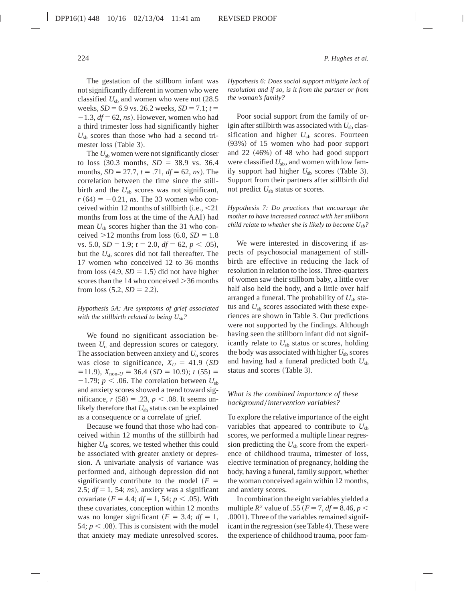The gestation of the stillborn infant was not significantly different in women who were classified  $U_{sb}$  and women who were not  $(28.5$ weeks,  $SD = 6.9$  vs. 26.2 weeks,  $SD = 7.1$ ;  $t =$  $-1.3$ ,  $df = 62$ , *ns*). However, women who had a third trimester loss had significantly higher  $U_{\rm sh}$  scores than those who had a second trimester loss (Table 3).

The  $U_{sb}$  women were not significantly closer to loss  $(30.3 \text{ months}, SD = 38.9 \text{ vs. } 36.4)$ months,  $SD = 27.7$ ,  $t = .71$ ,  $df = 62$ ,  $ns$ ). The correlation between the time since the stillbirth and the  $U_{\rm sh}$  scores was not significant,  $r(64) = -0.21$ , *ns*. The 33 women who conceived within 12 months of stillbirth  $(i.e., < 21$ months from loss at the time of the AAI) had mean  $U_{\rm sb}$  scores higher than the 31 who conceived  $>12$  months from loss  $(6.0, SD = 1.8)$ vs. 5.0,  $SD = 1.9$ ;  $t = 2.0$ ,  $df = 62$ ,  $p < .05$ ), but the  $U_{\rm sh}$  scores did not fall thereafter. The 17 women who conceived 12 to 36 months from loss  $(4.9, SD = 1.5)$  did not have higher scores than the 14 who conceived  $>$ 36 months from loss  $(5.2, SD = 2.2)$ .

## *Hypothesis 5A: Are symptoms of grief associated with the stillbirth related to being Usb?*

We found no significant association between  $U_0$  and depression scores or category. The association between anxiety and  $U_0$  scores was close to significance,  $X_U = 41.9$  (*SD*)  $(511.9)$ ,  $X_{\text{non-}U} = 36.4 ~ (SD = 10.9); t (55) =$  $-1.79$ ;  $p < .06$ . The correlation between  $U_{sb}$ and anxiety scores showed a trend toward significance,  $r(58) = .23, p < .08$ . It seems unlikely therefore that  $U_{sb}$  status can be explained as a consequence or a correlate of grief.

Because we found that those who had conceived within 12 months of the stillbirth had higher  $U_{sb}$  scores, we tested whether this could be associated with greater anxiety or depression. A univariate analysis of variance was performed and, although depression did not significantly contribute to the model  $(F =$ 2.5;  $df = 1$ , 54; *ns*), anxiety was a significant covariate  $(F = 4.4; df = 1, 54; p < .05)$ . With these covariates, conception within 12 months was no longer significant  $(F = 3.4; df = 1,$ 54;  $p < .08$ ). This is consistent with the model that anxiety may mediate unresolved scores.

*Hypothesis 6: Does social support mitigate lack of resolution and if so, is it from the partner or from the woman's family?*

Poor social support from the family of origin after stillbirth was associated with  $U_{sb}$  classification and higher  $U_{sb}$  scores. Fourteen (93%) of 15 women who had poor support and  $22 (46%)$  of 48 who had good support were classified  $U_{sb}$ , and women with low family support had higher  $U_{sb}$  scores (Table 3). Support from their partners after stillbirth did not predict  $U_{sb}$  status or scores.

*Hypothesis 7: Do practices that encourage the mother to have increased contact with her stillborn child relate to whether she is likely to become Usb?*

We were interested in discovering if aspects of psychosocial management of stillbirth are effective in reducing the lack of resolution in relation to the loss. Three-quarters of women saw their stillborn baby, a little over half also held the body, and a little over half arranged a funeral. The probability of  $U_{\rm sh}$  status and  $U_{sb}$  scores associated with these experiences are shown in Table 3. Our predictions were not supported by the findings. Although having seen the stillborn infant did not significantly relate to  $U_{sb}$  status or scores, holding the body was associated with higher  $U_{\rm sh}$  scores and having had a funeral predicted both  $U_{\rm sb}$ status and scores (Table 3).

# *What is the combined importance of these background*/intervention variables?

To explore the relative importance of the eight variables that appeared to contribute to  $U_{sb}$ scores, we performed a multiple linear regression predicting the  $U_{sb}$  score from the experience of childhood trauma, trimester of loss, elective termination of pregnancy, holding the body, having a funeral, family support, whether the woman conceived again within 12 months, and anxiety scores.

In combination the eight variables yielded a multiple  $R^2$  value of .55 ( $F = 7$ ,  $df = 8.46$ ,  $p <$ .0001). Three of the variables remained significant in the regression (see Table 4). These were the experience of childhood trauma, poor fam-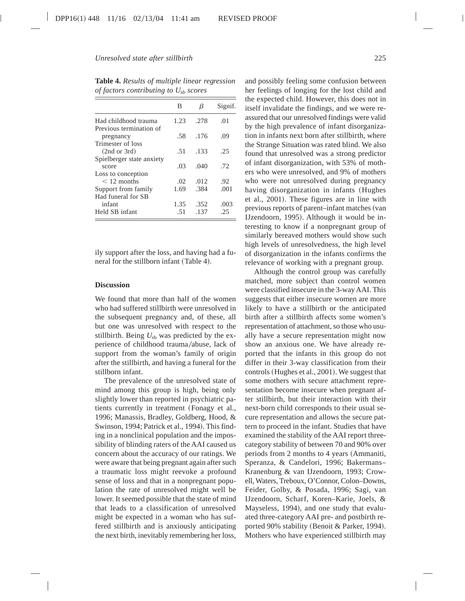| В    | β    | Signif. |
|------|------|---------|
| 1.23 | .278 | .01     |
| .58  | .176 | .09     |
| .51  | .133 | .25     |
| .03  | .040 | .72     |
|      |      |         |
| .02  | .012 | .92     |
| 1.69 | .384 | .001    |
|      |      |         |
| 1.35 | .352 | .003    |
| -51  | .137 | .25     |
|      |      |         |

**Table 4.** *Results of multiple linear regression of factors contributing to Usb scores*

ily support after the loss, and having had a funeral for the stillborn infant (Table 4).

## **Discussion**

We found that more than half of the women who had suffered stillbirth were unresolved in the subsequent pregnancy and, of these, all but one was unresolved with respect to the stillbirth. Being  $U_{sb}$  was predicted by the experience of childhood trauma/abuse, lack of support from the woman's family of origin after the stillbirth, and having a funeral for the stillborn infant.

The prevalence of the unresolved state of mind among this group is high, being only slightly lower than reported in psychiatric patients currently in treatment (Fonagy et al., 1996; Manassis, Bradley, Goldberg, Hood, & Swinson, 1994; Patrick et al., 1994). This finding in a nonclinical population and the impossibility of blinding raters of the AAI caused us concern about the accuracy of our ratings. We were aware that being pregnant again after such a traumatic loss might reevoke a profound sense of loss and that in a nonpregnant population the rate of unresolved might well be lower. It seemed possible that the state of mind that leads to a classification of unresolved might be expected in a woman who has suffered stillbirth and is anxiously anticipating the next birth, inevitably remembering her loss,

and possibly feeling some confusion between her feelings of longing for the lost child and the expected child. However, this does not in itself invalidate the findings, and we were reassured that our unresolved findings were valid by the high prevalence of infant disorganization in infants next born after stillbirth, where the Strange Situation was rated blind. We also found that unresolved was a strong predictor of infant disorganization, with 53% of mothers who were unresolved, and 9% of mothers who were not unresolved during pregnancy having disorganization in infants (Hughes et al., 2001). These figures are in line with previous reports of parent–infant matches (van IJzendoorn, 1995). Although it would be interesting to know if a nonpregnant group of similarly bereaved mothers would show such high levels of unresolvedness, the high level of disorganization in the infants confirms the relevance of working with a pregnant group.

Although the control group was carefully matched, more subject than control women were classified insecure in the 3-way AAI. This suggests that either insecure women are more likely to have a stillbirth or the anticipated birth after a stillbirth affects some women's representation of attachment, so those who usually have a secure representation might now show an anxious one. We have already reported that the infants in this group do not differ in their 3-way classification from their controls (Hughes et al., 2001). We suggest that some mothers with secure attachment representation become insecure when pregnant after stillbirth, but their interaction with their next-born child corresponds to their usual secure representation and allows the secure pattern to proceed in the infant. Studies that have examined the stability of the AAI report threecategory stability of between 70 and 90% over periods from 2 months to 4 years (Ammaniti, Speranza, & Candelori, 1996; Bakermans– Kranenburg & van IJzendoorn, 1993; Crowell, Waters, Treboux, O'Connor, Colon–Downs, Feider, Golby, & Posada, 1996; Sagi, van IJzendoorn, Scharf, Koren–Karie, Joels, & Mayseless, 1994), and one study that evaluated three-category AAI pre- and postbirth reported 90% stability (Benoit & Parker, 1994). Mothers who have experienced stillbirth may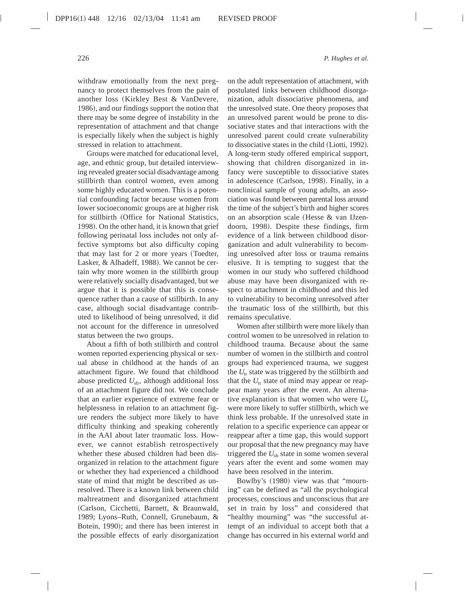withdraw emotionally from the next pregnancy to protect themselves from the pain of another loss (Kirkley Best  $&$  VanDevere, 1986), and our findings support the notion that there may be some degree of instability in the representation of attachment and that change is especially likely when the subject is highly stressed in relation to attachment.

Groups were matched for educational level, age, and ethnic group, but detailed interviewing revealed greater social disadvantage among stillbirth than control women, even among some highly educated women. This is a potential confounding factor because women from lower socioeconomic groups are at higher risk for stillbirth (Office for National Statistics, 1998). On the other hand, it is known that grief following perinatal loss includes not only affective symptoms but also difficulty coping that may last for 2 or more years (Toedter, Lasker, & Alhadeff, 1988). We cannot be certain why more women in the stillbirth group were relatively socially disadvantaged, but we argue that it is possible that this is consequence rather than a cause of stillbirth. In any case, although social disadvantage contributed to likelihood of being unresolved, it did not account for the difference in unresolved status between the two groups.

About a fifth of both stillbirth and control women reported experiencing physical or sexual abuse in childhood at the hands of an attachment figure. We found that childhood abuse predicted *U*sb, although additional loss of an attachment figure did not. We conclude that an earlier experience of extreme fear or helplessness in relation to an attachment figure renders the subject more likely to have difficulty thinking and speaking coherently in the AAI about later traumatic loss. However, we cannot establish retrospectively whether these abused children had been disorganized in relation to the attachment figure or whether they had experienced a childhood state of mind that might be described as unresolved. There is a known link between child maltreatment and disorganized attachment (Carlson, Cicchetti, Barnett, & Braunwald, 1989; Lyons–Ruth, Connell, Grunebaum, & Botein, 1990); and there has been interest in the possible effects of early disorganization

on the adult representation of attachment, with postulated links between childhood disorganization, adult dissociative phenomena, and the unresolved state. One theory proposes that an unresolved parent would be prone to dissociative states and that interactions with the unresolved parent could create vulnerability to dissociative states in the child (Liotti, 1992). A long-term study offered empirical support, showing that children disorganized in infancy were susceptible to dissociative states in adolescence (Carlson, 1998). Finally, in a nonclinical sample of young adults, an association was found between parental loss around the time of the subject's birth and higher scores on an absorption scale (Hesse & van IJzendoorn, 1998). Despite these findings, firm evidence of a link between childhood disorganization and adult vulnerability to becoming unresolved after loss or trauma remains elusive. It is tempting to suggest that the women in our study who suffered childhood abuse may have been disorganized with respect to attachment in childhood and this led to vulnerability to becoming unresolved after the traumatic loss of the stillbirth, but this remains speculative.

Women after stillbirth were more likely than control women to be unresolved in relation to childhood trauma. Because about the same number of women in the stillbirth and control groups had experienced trauma, we suggest the  $U_{tr}$  state was triggered by the stillbirth and that the  $U_{tr}$  state of mind may appear or reappear many years after the event. An alternative explanation is that women who were  $U_{tr}$ were more likely to suffer stillbirth, which we think less probable. If the unresolved state in relation to a specific experience can appear or reappear after a time gap, this would support our proposal that the new pregnancy may have triggered the  $U_{sb}$  state in some women several years after the event and some women may have been resolved in the interim.

Bowlby's (1980) view was that "mourning" can be defined as "all the psychological processes, conscious and unconscious that are set in train by loss" and considered that "healthy mourning" was "the successful attempt of an individual to accept both that a change has occurred in his external world and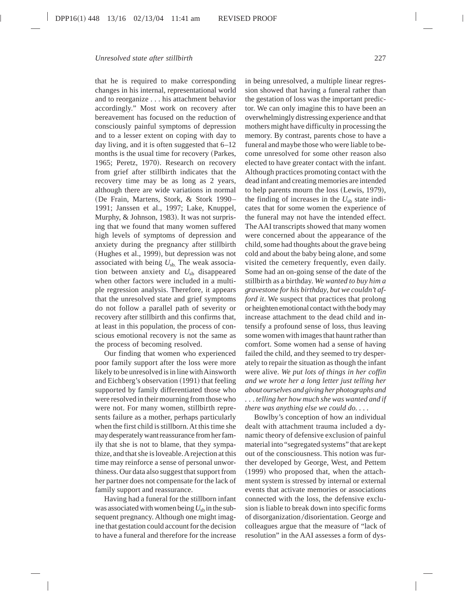that he is required to make corresponding changes in his internal, representational world and to reorganize . . . his attachment behavior accordingly." Most work on recovery after bereavement has focused on the reduction of consciously painful symptoms of depression and to a lesser extent on coping with day to day living, and it is often suggested that 6–12 months is the usual time for recovery (Parkes, 1965; Peretz, 1970). Research on recovery from grief after stillbirth indicates that the recovery time may be as long as 2 years, although there are wide variations in normal (De Frain, Martens, Stork, & Stork 1990– 1991; Janssen et al., 1997; Lake, Knuppel, Murphy, & Johnson, 1983). It was not surprising that we found that many women suffered high levels of symptoms of depression and anxiety during the pregnancy after stillbirth (Hughes et al., 1999), but depression was not associated with being  $U_{\rm sh}$ . The weak association between anxiety and  $U_{sb}$  disappeared when other factors were included in a multiple regression analysis. Therefore, it appears that the unresolved state and grief symptoms do not follow a parallel path of severity or recovery after stillbirth and this confirms that, at least in this population, the process of conscious emotional recovery is not the same as the process of becoming resolved.

Our finding that women who experienced poor family support after the loss were more likely to be unresolved is in line withAinsworth and Eichberg's observation (1991) that feeling supported by family differentiated those who were resolved in their mourning from those who were not. For many women, stillbirth represents failure as a mother, perhaps particularly when the first child is stillborn.At this time she may desperately want reassurance from her family that she is not to blame, that they sympathize, and that she is loveable.Arejection at this time may reinforce a sense of personal unworthiness. Our data also suggest that support from her partner does not compensate for the lack of family support and reassurance.

Having had a funeral for the stillborn infant was associated with women being  $U_{sb}$  in the subsequent pregnancy. Although one might imagine that gestation could account for the decision to have a funeral and therefore for the increase

in being unresolved, a multiple linear regression showed that having a funeral rather than the gestation of loss was the important predictor. We can only imagine this to have been an overwhelmingly distressing experience and that mothers might have difficulty in processing the memory. By contrast, parents chose to have a funeral and maybe those who were liable to become unresolved for some other reason also elected to have greater contact with the infant. Although practices promoting contact with the dead infant and creating memories are intended to help parents mourn the loss  $(Lewis, 1979),$ the finding of increases in the  $U_{sb}$  state indicates that for some women the experience of the funeral may not have the intended effect. The AAI transcripts showed that many women were concerned about the appearance of the child, some had thoughts about the grave being cold and about the baby being alone, and some visited the cemetery frequently, even daily. Some had an on-going sense of the date of the stillbirth as a birthday. *We wanted to buy him a gravestone for his birthday, but we couldn't afford it*. We suspect that practices that prolong or heighten emotional contact with the body may increase attachment to the dead child and intensify a profound sense of loss, thus leaving some women with images that haunt rather than comfort. Some women had a sense of having failed the child, and they seemed to try desperately to repair the situation as though the infant were alive. *We put lots of things in her coffin and we wrote her a long letter just telling her about ourselves and giving her photographs and . . . telling her how much she was wanted and if there was anything else we could do. .* . .

Bowlby's conception of how an individual dealt with attachment trauma included a dynamic theory of defensive exclusion of painful material into "segregated systems" that are kept out of the consciousness. This notion was further developed by George, West, and Pettem  $(1999)$  who proposed that, when the attachment system is stressed by internal or external events that activate memories or associations connected with the loss, the defensive exclusion is liable to break down into specific forms of disorganization/disorientation. George and colleagues argue that the measure of "lack of resolution" in the AAI assesses a form of dys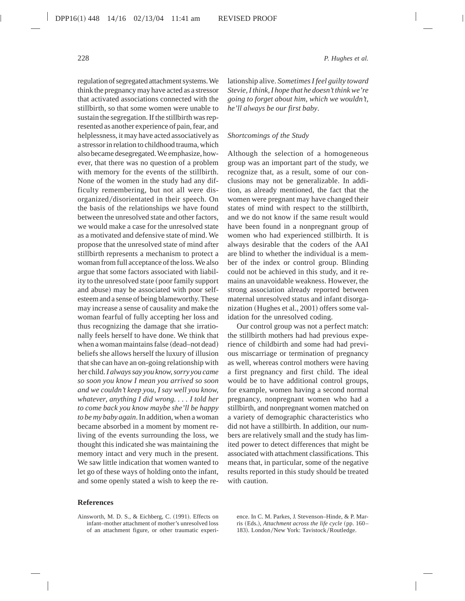regulation of segregated attachment systems.We think the pregnancy may have acted as a stressor that activated associations connected with the stillbirth, so that some women were unable to sustain the segregation. If the stillbirth was represented as another experience of pain, fear, and helplessness, it may have acted associatively as a stressor in relation to childhood trauma, which also became desegregated. We emphasize, however, that there was no question of a problem with memory for the events of the stillbirth. None of the women in the study had any difficulty remembering, but not all were disorganized/disorientated in their speech. On the basis of the relationships we have found between the unresolved state and other factors, we would make a case for the unresolved state as a motivated and defensive state of mind. We propose that the unresolved state of mind after stillbirth represents a mechanism to protect a woman from full acceptance of the loss. We also argue that some factors associated with liability to the unresolved state (poor family support and abuse) may be associated with poor selfesteem and a sense of being blameworthy.These may increase a sense of causality and make the woman fearful of fully accepting her loss and thus recognizing the damage that she irrationally feels herself to have done. We think that when a woman maintains false (dead–not dead) beliefs she allows herself the luxury of illusion that she can have an on-going relationship with her child.*I always say you know, sorry you came so soon you know I mean you arrived so soon and we couldn't keep you, I say well you know, whatever, anything I did wrong....I told her to come back you know maybe she'll be happy to be my baby again*. In addition, when a woman became absorbed in a moment by moment reliving of the events surrounding the loss, we thought this indicated she was maintaining the memory intact and very much in the present. We saw little indication that women wanted to let go of these ways of holding onto the infant, and some openly stated a wish to keep the re-

#### **References**

Ainsworth, M. D. S., & Eichberg, C. (1991). Effects on infant–mother attachment of mother's unresolved loss of an attachment figure, or other traumatic experi-

228 *P. Hughes et al.*

lationship alive. *Sometimes I feel guilty toward Stevie, I think, I hope that he doesn't think we're going to forget about him, which we wouldn't, he'll always be our first baby*.

#### *Shortcomings of the Study*

Although the selection of a homogeneous group was an important part of the study, we recognize that, as a result, some of our conclusions may not be generalizable. In addition, as already mentioned, the fact that the women were pregnant may have changed their states of mind with respect to the stillbirth, and we do not know if the same result would have been found in a nonpregnant group of women who had experienced stillbirth. It is always desirable that the coders of the AAI are blind to whether the individual is a member of the index or control group. Blinding could not be achieved in this study, and it remains an unavoidable weakness. However, the strong association already reported between maternal unresolved status and infant disorganization (Hughes et al., 2001) offers some validation for the unresolved coding.

Our control group was not a perfect match: the stillbirth mothers had had previous experience of childbirth and some had had previous miscarriage or termination of pregnancy as well, whereas control mothers were having a first pregnancy and first child. The ideal would be to have additional control groups, for example, women having a second normal pregnancy, nonpregnant women who had a stillbirth, and nonpregnant women matched on a variety of demographic characteristics who did not have a stillbirth. In addition, our numbers are relatively small and the study has limited power to detect differences that might be associated with attachment classifications. This means that, in particular, some of the negative results reported in this study should be treated with caution.

ence. In C. M. Parkes, J. Stevenson–Hinde, & P. Marris (Eds.), *Attachment across the life cycle* (pp. 160– 183). London/New York: Tavistock/Routledge.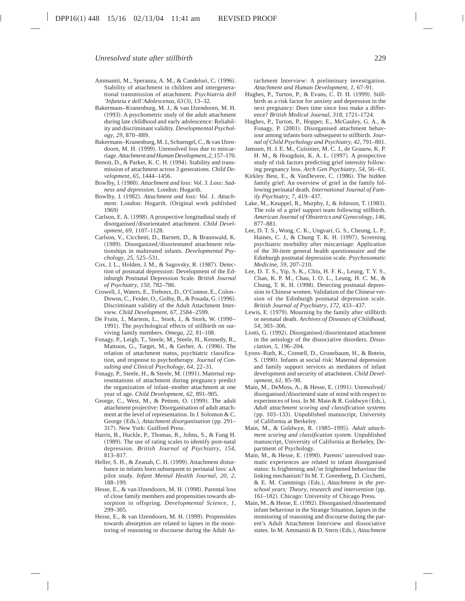- Ammaniti, M., Speranza, A. M., & Candelori, C. (1996). Stability of attachment in children and intergenerational transmission of attachment. *Psychiatria dell 'Infanzia e dell'Adolescenza*, *63*~3!, 13–32.
- Bakermans–Kranenburg, M. J., & van IJzendoorn, M. H.  $(1993)$ . A psychometric study of the adult attachment during late childhood and early adolescence: Reliability and discriminant validity. *Developmental Psychology*, *29*, 870–889.
- Bakermans–Kranenburg, M. J., Schuengel, C., & van IJzendoorn, M. H. (1999). Unresolved loss due to miscarriage.*Attachment and Human Development*, *2*, 157–170.
- Benoit, D., & Parker, K. C. H. (1994). Stability and transmission of attachment across 3 generations. *Child Development*, *65*, 1444–1456.
- Bowlby, J. (1980). Attachment and loss: Vol. 3. Loss: Sad*ness and depression*. London: Hogarth.
- Bowlby, J. (1982). *Attachment and loss: Vol. 1. Attachment*. London: Hogarth. (Original work published 1969)
- Carlson, E. A. (1998). A prospective longitudinal study of disorganised/disorientated attachment. *Child Development*, *69*, 1107–1128.
- Carlson, V., Cicchetti, D., Barnett, D., & Braunwald, K. (1989). Disorganized/disorientated attachment relationships in maltreated infants. *Developmental Psychology*, *25*, 525–531.
- Cox, J. L., Holden, J. M., & Sagovsky, R. (1987). Detection of postnatal depression: Development of the Edinburgh Postnatal Depression Scale*. British Journal of Psychiatry*, *150*, 782–786.
- Crowell, J., Waters, E., Treboux, D., O'Connor, E., Colon– Downs, C., Feider, O., Golby, B., & Posada, G. (1996). Discriminant validity of the Adult Attachment Interview. *Child Development*, *67*, 2584–2599.
- De Frain, J., Martens, L., Stork, J., & Stork, W. (1990– 1991). The psychological effects of stillbirth on surviving family members. *Omega*, *22*, 81–108.
- Fonagy, P., Leigh, T., Steele, M., Steele, H., Kennedy, R., Mattoon, G., Target, M., & Gerber, A. (1996). The relation of attachment status, psychiatric classification, and response to psychotherapy. *Journal of Consulting and Clinical Psychology*, *64*, 22–31.
- Fonagy, P., Steele, H., & Steele, M. (1991). Maternal representations of attachment during pregnancy predict the organization of infant–mother attachment at one year of age. *Child Development*, *62*, 891–905.
- George, C., West, M., & Pettem, O. (1999). The adult attachment projective: Disorganisation of adult attachment at the level of representation. In J. Solomon & C. George (Eds.), *Attachment disorganisation* (pp. 291– 317). New York: Guilford Press.
- Harris, B., Huckle, P., Thomas, R., Johns, S., & Fung H. (1989). The use of rating scales to identify post-natal depression. *British Journal of Psychiatry*, *154*, 813–817.
- Heller, S. H., & Zeanah, C. H. (1999). Attachment disturbance in infants born subsequent to perinatal loss: aA pilot study. *Infant Mental Health Journal*, *20*, *2*, 188–199.
- Hesse, E., & van IJzendoorn, M. H. (1998). Parental loss of close family members and propensities towards absorption in offspring. *Developmental Science*, *1*, 299–305.
- Hesse, E., & van IJzendoorn, M. H. (1999). Propensities towards absorption are related to lapses in the monitoring of reasoning or discourse during the Adult At-

tachment Interview: A preliminary investigation. *Attachment and Human Development*, *1*, 67–91.

- Hughes, P., Turton, P., & Evans, C. D. H. (1999). Stillbirth as a risk factor for anxiety and depression in the next pregnancy: Does time since loss make a difference? *British Medical Journal*, *318*, 1721–1724.
- Hughes, P., Turton, P., Hopper, E., McGauley, G. A., & Fonagy, P. (2001). Disorganised attachment behaviour among infants born subsequent to stillbirth. *Journal of Child Psychology and Psychiatry*, *42*, 791–801.
- Janssen, H. J. E. M., Cuisinier, M. C. J., de Graauw, K. P. H. M., & Hoogduin, K. A. L. (1997). A prospective study of risk factors predicting grief intensity following pregnancy loss. *Arch Gen Psychiatry*, *54*, 56–61.
- Kirkley Best, E., & VanDevere, C. (1986). The hidden family grief: An overview of grief in the family following perinatal death. *International Journal of Family Psychiatry*, *7*, 419–437.
- Lake, M., Knuppel, R., Murphy, J., & Johnson, T. (1983). The role of a grief support team following stillbirth. *American Journal of Obstetrics and Gynecology*, *146*, 877–881.
- Lee, D. T. S., Wong, C. K., Ungvari, G. S., Cheung, L. P., Haines, C. J., & Chung T. K. H. (1997). Screening psychiatric morbidity after miscarriage: Application of the 30-item general health questionnaire and the Edinburgh postnatal depression scale. *Psychosomatic Medicine*, *59*, 207–210.
- Lee, D. T. S., Yip, S. K., Chiu, H. F. K., Leung, T. Y. S., Chan, K. P. M., Chau, I. O. L., Leung, H. C. M., & Chung, T. K. H. (1998). Detecting postnatal depression in Chinese women. Validation of the Chinese version of the Edinburgh postnatal depression scale. *British Journal of Psychiatry*, *172*, 433–437.
- Lewis, E. (1979). Mourning by the family after stillbirth or neonatal death. *Archives of Diseases of Childhood*, *54*, 303–306.
- Liotti, G. (1992). Disorganised/disorientated attachment in the aetiology of the dissociative disorders. *Dissociation*, *5*, 196–204.
- Lyons–Ruth, K., Connell, D., Grunebaum, H., & Botein, S. (1990). Infants at social risk: Maternal depression and family support services as mediators of infant development and security of attachment. *Child Development*, *61*, 85–98.
- Main, M., DeMoss, A., & Hesse, E. (1991). Unresolved/ disorganised/disoriented state of mind with respect to experiences of loss. In M. Main & R. Goldwyn (Eds.), *Adult attachment scoring and classification systems* (pp. 103–133). Unpublished manuscript, University of California at Berkeley.
- Main, M., & Goldwyn, R. (1985-1995). *Adult attachment scoring and classification system*. Unpublished manuscript, University of California at Berkeley, Department of Psychology.
- Main, M., & Hesse, E. (1990). Parents' unresolved traumatic experiences are related to infant disorganised status: Is frightening and/or frightened behaviour the linking mechanism? In M. T. Greenberg, D. Cicchetti,  $&$  E. M. Cummings (Eds.), *Attachment in the pre* $school years: Theory, research and intervention (pp.$ 161-182). Chicago: University of Chicago Press.
- Main, M., & Hesse, E. (1992). Disorganised/disorientated infant behaviour in the Strange Situation, lapses in the monitoring of reasoning and discourse during the parent's Adult Attachment Interview and dissociative states. In M. Ammaniti & D. Stern (Eds.), *Attachment*